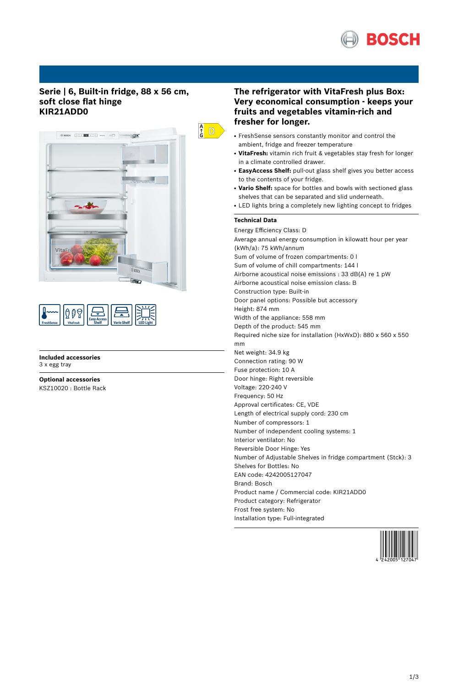

# **Serie | 6, Built-in fridge, 88 x 56 cm, soft close flat hinge KIR21ADD0**



| ۵<br>ccess <sup>1</sup><br><b>Vario Shelf</b><br><b>FreshSense</b><br><b>VitaFresh</b><br><b>Shelf</b> |
|--------------------------------------------------------------------------------------------------------|
|--------------------------------------------------------------------------------------------------------|

**Included accessories** 3 x egg tray

**Optional accessories** KSZ10020 : Bottle Rack

# **The refrigerator with VitaFresh plus Box: Very economical consumption - keeps your fruits and vegetables vitamin-rich and fresher for longer.**

- FreshSense sensors constantly monitor and control the ambient, fridge and freezer temperature
- VitaFresh: vitamin rich fruit & vegetables stay fresh for longer in a climate controlled drawer.
- **EasyAccess Shelf:** pull-out glass shelf gives you better access to the contents of your fridge.
- Vario Shelf: space for bottles and bowls with sectioned glass shelves that can be separated and slid underneath.
- LED lights bring a completely new lighting concept to fridges

### **Technical Data**

Energy Efficiency Class: D Average annual energy consumption in kilowatt hour per year (kWh/a): 75 kWh/annum Sum of volume of frozen compartments: 0 l Sum of volume of chill compartments: 144 l Airborne acoustical noise emissions : 33 dB(A) re 1 pW Airborne acoustical noise emission class: B Construction type: Built-in Door panel options: Possible but accessory Height: 874 mm Width of the appliance: 558 mm Depth of the product: 545 mm Required niche size for installation (HxWxD): 880 x 560 x 550 mm Net weight: 34.9 kg Connection rating: 90 W Fuse protection: 10 A Door hinge: Right reversible Voltage: 220-240 V Frequency: 50 Hz Approval certificates: CE, VDE Length of electrical supply cord: 230 cm Number of compressors: 1 Number of independent cooling systems: 1 Interior ventilator: No Reversible Door Hinge: Yes Number of Adjustable Shelves in fridge compartment (Stck): 3 Shelves for Bottles: No EAN code: 4242005127047 Brand: Bosch Product name / Commercial code: KIR21ADD0 Product category: Refrigerator Frost free system: No Installation type: Full-integrated

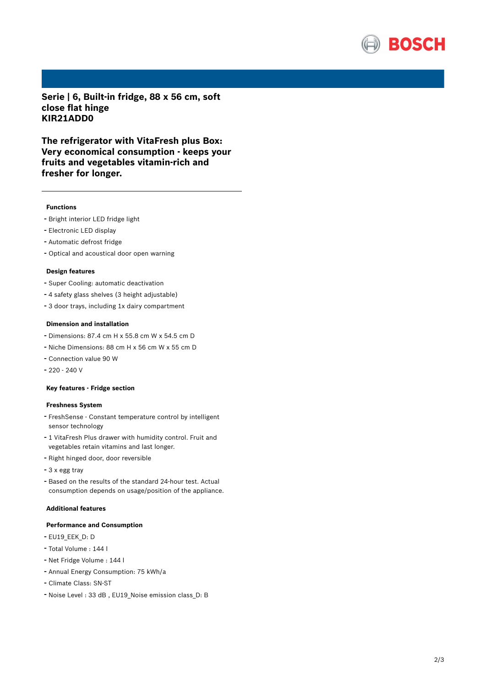

**Serie | 6, Built-in fridge, 88 x 56 cm, soft close flat hinge KIR21ADD0**

**The refrigerator with VitaFresh plus Box: Very economical consumption - keeps your fruits and vegetables vitamin-rich and fresher for longer.**

#### **Functions**

- Bright interior LED fridge light
- Electronic LED display
- Automatic defrost fridge
- Optical and acoustical door open warning

#### **Design features**

- Super Cooling: automatic deactivation
- <sup>4</sup> safety glass shelves (3 height adjustable)
- <sup>3</sup> door trays, including 1x dairy compartment

## **Dimension and installation**

- Dimensions: 87.4 cm H x 55.8 cm W x 54.5 cm D
- Niche Dimensions: <sup>88</sup> cm <sup>H</sup> <sup>x</sup> <sup>56</sup> cm <sup>W</sup> <sup>x</sup> <sup>55</sup> cm <sup>D</sup>
- Connection value <sup>90</sup> <sup>W</sup>
- $-220 240$  V

#### **Key features - Fridge section**

#### **Freshness System**

- FreshSense Constant temperature control by intelligent sensor technology
- <sup>1</sup> VitaFresh Plus drawer with humidity control. Fruit and vegetables retain vitamins and last longer.
- Right hinged door, door reversible
- <sup>3</sup> <sup>x</sup> egg tray
- Based on the results of the standard 24-hour test. Actual consumption depends on usage/position of the appliance.

#### **Additional features**

#### **Performance and Consumption**

- EU19\_EEK\_D: D
- Total Volume : <sup>144</sup> <sup>l</sup>
- Net Fridge Volume : <sup>144</sup> <sup>l</sup>
- Annual Energy Consumption: <sup>75</sup> kWh/a
- Climate Class: SN-ST
- Noise Level : <sup>33</sup> dB , EU19\_Noise emission class\_D: <sup>B</sup>